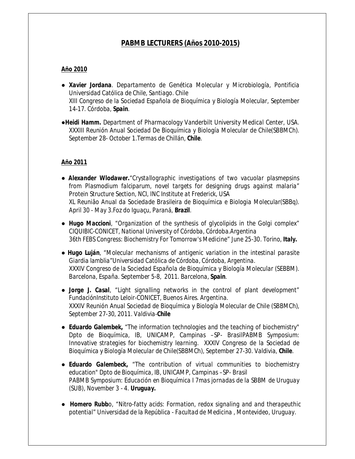# *PABMB LECTURERS (Años 2010-2015)*

### *Año 2010*

- *Xavier Jordana. Departamento de Genética Molecular y Microbiología, Pontificia Universidad Católica de Chile, Santiago. Chile XIII Congreso de la Sociedad Española de Bioquímica y Biología Molecular, September 14-17. Córdoba, Spain.*
- *●Heidi Hamm. Department of Pharmacology Vanderbilt University Medical Center, USA. XXXIII Reunión Anual Sociedad De Bioquímica y Biología Molecular de Chile(SBBMCh). September 28- October 1.Termas de Chillán, Chile.*

### *Año 2011*

- *Alexander Wlodawer."Crystallographic investigations of two vacuolar plasmepsins from Plasmodium falciparum, novel targets for designing drugs against malaria" Protein Structure Section, NCI, INC Institute at Frederick, USA XL Reunião Anual da Sociedade Brasileira de Bioquímica e Biologia Molecular(SBBq). April 30 - May 3.Foz do Iguaçu, Paraná, Brazil.*
- *● Hugo Maccioni, "Organization of the synthesis of glycolipids in the Golgi complex" CIQUIBIC-CONICET, National University of Córdoba, Córdoba.Argentina 36th FEBS Congress: Biochemistry For Tomorrow's Medicine" June 25-30. Torino, Italy.*
- *Hugo Luján, "Molecular mechanisms of antigenic variation in the intestinal parasite Giardia lamblia"Universidad Católica de Córdoba, Córdoba, Argentina. XXXIV Congreso de la Sociedad Española de Bioquímica y Biología Molecular (SEBBM). Barcelona, España. September 5-8, 2011. Barcelona, Spain.*
- *Jorge J. Casal, "Light signalling networks in the control of plant development" FundaciónInstituto Leloir-CONICET, Buenos Aires. Argentina. XXXIV Reunión Anual Sociedad de Bioquímica y Biología Molecular de Chile (SBBMCh), September 27-30, 2011. Valdivia-Chile*
- *Eduardo Galembek, "The information technologies and the teaching of biochemistry" Dpto de Bioquímica, IB, UNICAMP, Campinas –SP- BrasilPABMB Symposium: Innovative strategies for biochemistry learning. XXXIV Congreso de la Sociedad de Bioquímica y Biología Molecular de Chile(SBBMCh), September 27-30. Valdivia, Chile.*
- *● Eduardo Galembeck, "The contribution of virtual communities to biochemistry education" Dpto de Bioquímica, IB, UNICAMP, Campinas –SP- Brasil PABMB Symposium: Educación en Bioquímica I 7mas jornadas de la SBBM de Uruguay (SUB), November 3 - 4. Uruguay.*
- *● Homero Rubbo, "Nitro-fatty acids: Formation, redox signaling and and therapeuthic potential" Universidad de la República - Facultad de Medicina , Montevideo, Uruguay.*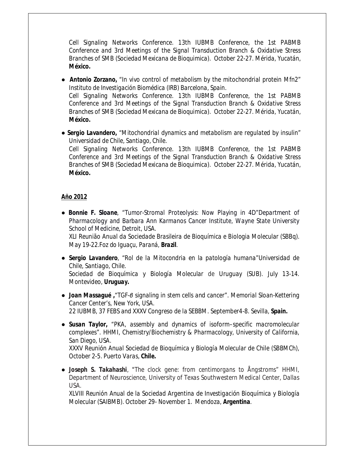*Cell Signaling Networks Conference. 13th IUBMB Conference, the 1st PABMB Conference and 3rd Meetings of the Signal Transduction Branch & Oxidative Stress Branches of SMB (Sociedad Mexicana de Bioquimica). October 22-27. Mérida, Yucatán, México.*

- *● Antonio Zorzano, "In vivo control of metabolism by the mitochondrial protein Mfn2" Instituto de Investigación Biomédica (IRB) Barcelona, Spain. Cell Signaling Networks Conference. 13th IUBMB Conference, the 1st PABMB Conference and 3rd Meetings of the Signal Transduction Branch & Oxidative Stress Branches of SMB (Sociedad Mexicana de Bioquimica). October 22-27. Mérida, Yucatán, México.*
- *Sergio Lavandero, "Mitochondrial dynamics and metabolism are regulated by insulin" Universidad de Chile, Santiago, Chile. Cell Signaling Networks Conference. 13th IUBMB Conference, the 1st PABMB Conference and 3rd Meetings of the Signal Transduction Branch & Oxidative Stress Branches of SMB (Sociedad Mexicana de Bioquimica). October 22-27. Mérida, Yucatán, México.*

### *Año 2012*

- *Bonnie F. Sloane, "Tumor-Stromal Proteolysis: Now Playing in 4D"Department of Pharmacology and Barbara Ann Karmanos Cancer Institute, Wayne State University School of Medicine, Detroit, USA. XLI Reunião Anual da Sociedade Brasileira de Bioquímica e Biologia Molecular (SBBq). May 19-22.Foz do Iguaçu, Paraná, Brazil.*
- *Sergio Lavandero, "Rol de la Mitocondria en la patología humana"Universidad de Chile, Santiago, Chile. Sociedad de Bioquímica y Biología Molecular de Uruguay (SUB). July 13-14. Montevideo, Uruguay.*
- *Joan Massagué ,"TGF-β signaling in stem cells and cancer". Memorial Sloan-Kettering Cancer Center's, New York, USA. 22 IUBMB, 37 FEBS and XXXV Congreso de la SEBBM. September4-8. Sevilla, Spain.*
- *● Susan Taylor, "PKA, assembly and dynamics of isoform–specific macromolecular complexes". HHMI, Chemistry/Biochemistry & Pharmacology, University of California, San Diego, USA. XXXV Reunión Anual Sociedad de Bioquímica y Biología Molecular de Chile (SBBMCh), October 2-5. Puerto Varas, Chile.*
- *● Joseph S. Takahashi, "The clock gene: from centimorgans to Ångstroms" HHMI, Department of Neuroscience, University of Texas Southwestern Medical Center, Dallas USA.*

*XLVIII Reunión Anual de la Sociedad Argentina de Investigación Bioquímica y Biología Molecular (SAIBMB). October 29- November 1. Mendoza, Argentina.*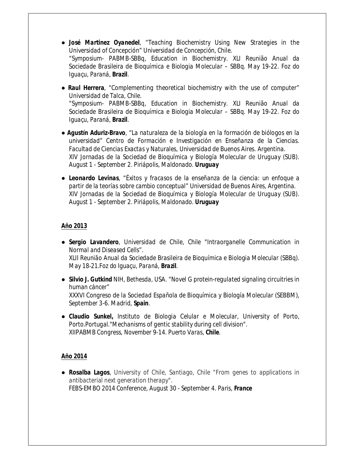- *● José Martinez Oyanedel, "Teaching Biochemistry Using New Strategies in the Universidad of Concepción" Universidad de Concepción, Chile. "Symposium- PABMB-SBBq, Education in Biochemistry. XLI Reunião Anual da Sociedade Brasileira de Bioquímica e Biologia Molecular – SBBq. May 19-22. Foz do Iguaçu, Paraná, Brazil.*
- *● Raul Herrera, "Complementing theoretical biochemistry with the use of computer" Universidad de Talca, Chile. "Symposium- PABMB-SBBq, Education in Biochemistry. XLI Reunião Anual da Sociedade Brasileira de Bioquímica e Biologia Molecular – SBBq. May 19-22. Foz do Iguaçu, Paraná, Brazil.*
- *● Agustín Aduriz-Bravo, "La naturaleza de la biología en la formación de biólogos en la universidad" Centro de Formación e Investigación en Enseñanza de la Ciencias. Facultad de Ciencias Exactas y Naturales, Universidad de Buenos Aires. Argentina. XIV Jornadas de la Sociedad de Bioquímica y Biología Molecular de Uruguay (SUB). August 1 - September 2. Piriápolis, Maldonado. Uruguay*
- *● Leonardo Levinas, "Éxitos y fracasos de la enseñanza de la ciencia: un enfoque a partir de la teorías sobre cambio conceptual" Universidad de Buenos Aires, Argentina. XIV Jornadas de la Sociedad de Bioquímica y Biología Molecular de Uruguay (SUB). August 1 - September 2. Piriápolis, Maldonado. Uruguay*

## *Año 2013*

- *Sergio Lavandero, Universidad de Chile, Chile "Intraorganelle Communication in Normal and Diseased Cells". XLII Reunião Anual da Sociedade Brasileira de Bioquímica e Biologia Molecular (SBBq). May 18-21.Foz do Iguaçu, Paraná, Brazil.*
- *Silvio J. Gutkind NIH, Bethesda, USA. "Novel G protein-regulated signaling circuitries in human cáncer" XXXVI Congreso de la Sociedad Española de Bioquímica y Biología Molecular (SEBBM), September 3-6. Madrid, Spain.*
- *Claudio Sunkel, Instituto de Biologia Celular e Molecular, University of Porto, Porto.Portugal."Mechanisms of gentic stability during cell division". XIIPABMB Congress, November 9-14. Puerto Varas, Chile.*

### *Año 2014*

*● Rosalba Lagos, University of Chile, Santiago, Chile "From genes to applications in antibacterial next generation therapy". FEBS-EMBO 2014 Conference, August 30 - September 4. Paris, France*